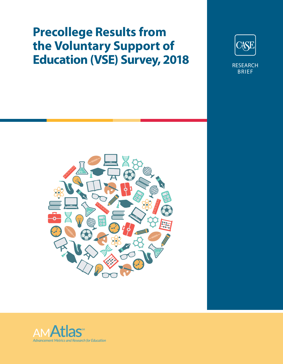# **Precollege Results from the Voluntary Support of Education (VSE) Survey, 2018**



BRIEF



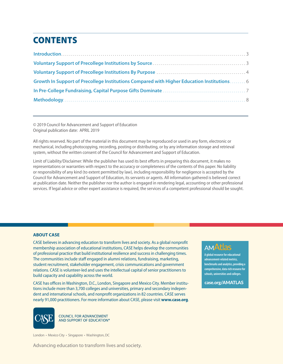# **CONTENTS**

| Growth In Support of Precollege Institutions Compared with Higher Education Institutions 6 |  |
|--------------------------------------------------------------------------------------------|--|
|                                                                                            |  |
|                                                                                            |  |

© 2019 Council for Advancement and Support of Education Original publication date: APRIL 2019

All rights reserved. No part of the material in this document may be reproduced or used in any form, electronic or mechanical, including photocopying, recording, posting or distributing, or by any information storage and retrieval system, without the written consent of the Council for Advancement and Support of Education.

Limit of Liability/Disclaimer: While the publisher has used its best efforts in preparing this document, it makes no representations or warranties with respect to the accuracy or completeness of the contents of this paper. No liability or responsibility of any kind (to extent permitted by law), including responsibility for negligence is accepted by the Council for Advancement and Support of Education, its servants or agents. All information gathered is believed correct at publication date. Neither the publisher nor the author is engaged in rendering legal, accounting or other professional services. If legal advice or other expert assistance is required, the services of a competent professional should be sought.

#### **ABOUT CASE**

CASE believes in advancing education to transform lives and society. As a global nonprofit membership association of educational institutions, CASE helps develop the communities of professional practice that build institutional resilience and success in challenging times. The communities include staff engaged in alumni relations, fundraising, marketing, student recruitment, stakeholder engagement, crisis communications and government relations. CASE is volunteer-led and uses the intellectual capital of senior practitioners to build capacity and capability across the world.

CASE has offices in Washington, D.C., London, Singapore and Mexico City. Member institutions include more than 3,700 colleges and universities, primary and secondary independent and international schools, and nonprofit organizations in 82 countries. CASE serves nearly 91,000 practitioners. For more information about CASE, please visit **www.case.org**.



**COUNCIL FOR ADVANCEMENT** AND SUPPORT OF EDUCATION®

London • Mexico City • Singapore • Washington, DC

Advancing education to transform lives and society.

# **AMAtlas**

**A global resource for educational advancement-related metrics, benchmarks and analytics, providing a comprehensive, data-rich resource for schools, universities and colleges.**

case.org/AMATLAS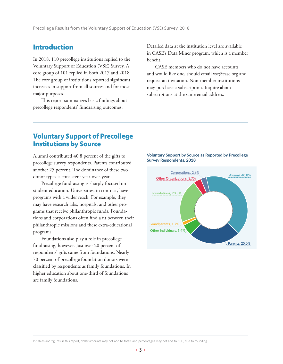### Introduction

In 2018, 110 precollege institutions replied to the Voluntary Support of Education (VSE) Survey. A core group of 101 replied in both 2017 and 2018. The core group of institutions reported significant increases in support from all sources and for most major purposes.

This report summarizes basic findings about precollege respondents' fundraising outcomes.

Detailed data at the institution level are available in CASE's Data Miner program, which is a member benefit.

CASE members who do not have accounts and would like one, should email vse@case.org and request an invitation. Non-member institutions may purchase a subscription. Inquire about subscriptions at the same email address.

### Voluntary Support of Precollege Institutions by Source

Alumni contributed 40.8 percent of the gifts to precollege survey respondents. Parents contributed another 25 percent. The dominance of these two donor types is consistent year-over-year.

Precollege fundraising is sharply focused on student education. Universities, in contrast, have programs with a wider reach. For example, they may have research labs, hospitals, and other programs that receive philanthropic funds. Foundations and corporations often find a fit between their philanthropic missions and these extra-educational programs.

Foundations also play a role in precollege fundraising, however. Just over 20 percent of respondents' gifts came from foundations. Nearly 70 percent of precollege foundation donors were classified by respondents as family foundations. In higher education about one-third of foundations are family foundations.

**Voluntary Support by Source as Reported by Precollege Survey Respondents, 2018**

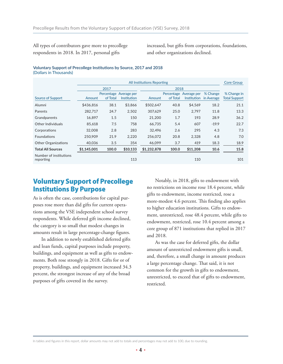All types of contributors gave more to precollege respondents in 2018. In 2017, personal gifts

increased, but gifts from corporations, foundations, and other organizations declined.

#### **Voluntary Support of Precollege Institutions by Source, 2017 and 2018** (Dollars in Thousands)

|                                     | <b>All Institutions Reporting</b> |          |                                       |             |          |                                                            |                        | <b>Core Group</b>                   |
|-------------------------------------|-----------------------------------|----------|---------------------------------------|-------------|----------|------------------------------------------------------------|------------------------|-------------------------------------|
|                                     | 2017                              |          |                                       |             |          |                                                            |                        |                                     |
| Source of Support                   | Amount                            | of Total | Percentage Average per<br>Institution | Amount      | of Total | Percentage Average per<br><i><u><b>Institution</b></u></i> | % Change<br>in Average | % Change in<br><b>Total Support</b> |
| Alumni                              | \$436,816                         | 38.1     | \$3,866                               | \$502,647   | 40.8     | \$4,569                                                    | 18.2                   | 21.1                                |
| Parents                             | 282,717                           | 24.7     | 2,502                                 | 307,629     | 25.0     | 2,797                                                      | 11.8                   | 13.3                                |
| Grandparents                        | 16.897                            | 1.5      | 150                                   | 21,200      | 1.7      | 193                                                        | 28.9                   | 36.2                                |
| Other Individuals                   | 85,618                            | 7.5      | 758                                   | 66,735      | 5.4      | 607                                                        | $-19.9$                | 22.7                                |
| Corporations                        | 32,008                            | 2.8      | 283                                   | 32.496      | 2.6      | 295                                                        | 4.3                    | 7.3                                 |
| <b>Foundations</b>                  | 250,909                           | 21.9     | 2,220                                 | 256,072     | 20.8     | 2,328                                                      | 4.8                    | 7.0                                 |
| <b>Other Organizations</b>          | 40,036                            | 3.5      | 354                                   | 46.099      | 3.7      | 419                                                        | 18.3                   | 18.9                                |
| <b>Total All Sources</b>            | \$1,145,001                       | 100.0    | \$10,133                              | \$1,232,878 | 100.0    | \$11,208                                                   | 10.6                   | 15.8                                |
| Number of institutions<br>reporting |                                   |          | 113                                   |             |          | 110                                                        |                        | 101                                 |

# Voluntary Support of Precollege Institutions By Purpose

As is often the case, contributions for capital purposes rose more than did gifts for current operations among the VSE independent school survey respondents. While deferred gift income declined, the category is so small that modest changes in amounts result in large percentage-change figures.

In addition to newly established deferred gifts and loan funds, capital purposes include property, buildings, and equipment as well as gifts to endowments. Both rose strongly in 2018. Gifts for or of property, buildings, and equipment increased 34.3 percent, the strongest increase of any of the broad purposes of gifts covered in the survey.

Notably, in 2018, gifts to endowment with no restrictions on income rose 18.4 percent, while gifts to endowment, income restricted, rose a more-modest 4.6 percent. This finding also applies to higher education institutions. Gifts to endowment, unrestricted, rose 48.4 percent, while gifts to endowment, restricted, rose 10.4 percent among a core group of 871 institutions that replied in 2017 and 2018.

As was the case for deferred gifts, the dollar amount of unrestricted endowment gifts is small, and, therefore, a small change in amount produces a large percentage change. That said, it is not common for the growth in gifts to endowment, unrestricted, to exceed that of gifts to endowment, restricted.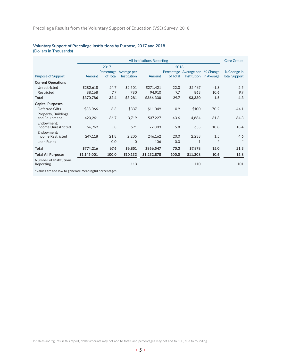#### **Voluntary Support of Precollege Institutions by Purpose, 2017 and 2018** (Dollars in Thousands)

|                                          | All Institutions Reporting |          |                        |             |            |                    |            | <b>Core Group</b>    |
|------------------------------------------|----------------------------|----------|------------------------|-------------|------------|--------------------|------------|----------------------|
|                                          |                            | 2017     |                        |             | 2018       |                    |            |                      |
|                                          |                            |          | Percentage Average per |             | Percentage | Average per        | % Change   | % Change in          |
| <b>Purpose of Support</b>                | Amount                     | of Total | Institution            | Amount      | of Total   | <b>Institution</b> | in Average | <b>Total Support</b> |
| <b>Current Operations</b>                |                            |          |                        |             |            |                    |            |                      |
| Unrestricted                             | \$282,618                  | 24.7     | \$2,501                | \$271,421   | 22.0       | \$2,467            | $-1.3$     | 2.5                  |
| Restricted                               | 88,168                     | 7.7      | 780                    | 94,910      | 7.7        | 863                | 10.6       | 9.9                  |
| Total                                    | \$370,786                  | 32.4     | \$3,281                | \$366,330   | 29.7       | \$3,330            | 1.5        | 4.3                  |
| <b>Capital Purposes</b>                  |                            |          |                        |             |            |                    |            |                      |
| Deferred Gifts                           | \$38,066                   | 3.3      | \$337                  | \$11,049    | 0.9        | \$100              | $-70.2$    | $-44.1$              |
| Property, Buildings,<br>and Equipment    | 420,261                    | 36.7     | 3,719                  | 537,227     | 43.6       | 4,884              | 31.3       | 34.3                 |
| Fndowment:<br><b>Income Unrestricted</b> | 66,769                     | 5.8      | 591                    | 72,003      | 5.8        | 655                | 10.8       | 18.4                 |
| Endowment:<br><b>Income Restricted</b>   | 249,118                    | 21.8     | 2,205                  | 246,162     | 20.0       | 2,238              | 1.5        | 4.6                  |
| Loan Funds                               | 1                          | 0.0      | $\Omega$               | 106         | 0.0        | 1                  | $\ast$     | $*$                  |
| Total                                    | \$774,216                  | 67.6     | \$6,851                | \$866,547   | 70.3       | \$7,878            | 15.0       | 21.3                 |
| <b>Total All Purposes</b>                | \$1,145,001                | 100.0    | \$10,133               | \$1,232,878 | 100.0      | \$11,208           | 10.6       | 15.8                 |
| Number of Institutions<br>Reporting      |                            |          | 113                    |             |            | 110                |            | 101                  |

\*Values are too low to generate meaningful percentages.

In tables and figures in this report, dollar amounts may not add to totals and percentages may not add to 100, due to rounding.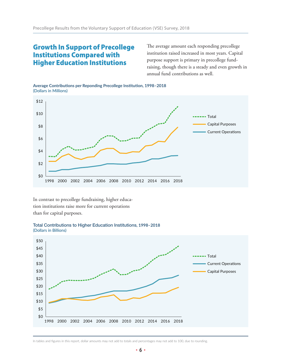# Growth In Support of Precollege Institutions Compared with Higher Education Institutions

The average amount each responding precollege institution raised increased in most years. Capital purpose support is primary in precollege fundraising, though there is a steady and even growth in annual fund contributions as well.

**Average Contributions per Reponding Precollege Institution, 1998–2018** (Dollars in Millions)



In contrast to precollege fundraising, higher education institutions raise more for current operations than for capital purposes.





In tables and figures in this report, dollar amounts may not add to totals and percentages may not add to 100, due to rounding.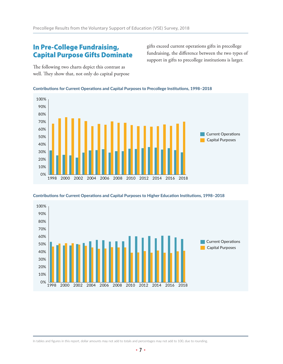# In Pre-College Fundraising, Capital Purpose Gifts Dominate

gifts exceed current operations gifts in precollege fundraising, the difference between the two types of support in gifts to precollege institutions is larger.

The following two charts depict this contrast as well. They show that, not only do capital purpose







**Contributions for Current Operations and Capital Purposes to Higher Education Institutions, 1998–2018**

In tables and figures in this report, dollar amounts may not add to totals and percentages may not add to 100, due to rounding.